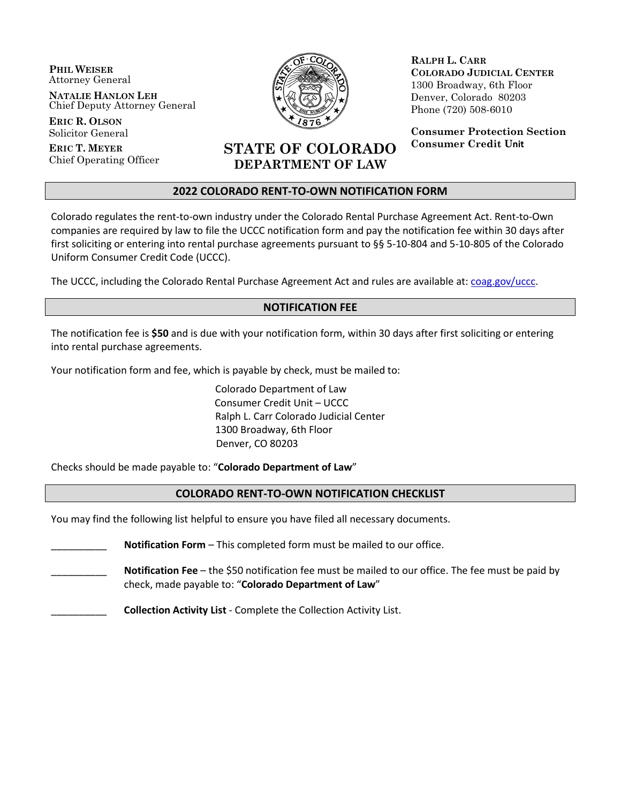**PHIL WEISER** Attorney General

**NATALIE HANLON LEH** Chief Deputy Attorney General

**ERIC R. OLSON** Solicitor General

**ERIC T. MEYER** Chief Operating Officer



**RALPH L. CARR COLORADO JUDICIAL CENTER** 1300 Broadway, 6th Floor Denver, Colorado 80203 Phone (720) 508-6010

**Consumer Protection Section Consumer Credit Unit**

# **STATE OF COLORADO DEPARTMENT OF LAW**

#### **2022 COLORADO RENT-TO-OWN NOTIFICATION FORM**

Colorado regulates the rent-to-own industry under the Colorado Rental Purchase Agreement Act. Rent-to-Own companies are required by law to file the UCCC notification form and pay the notification fee within 30 days after first soliciting or entering into rental purchase agreements pursuant to §§ 5-10-804 and 5-10-805 of the Colorado Uniform Consumer Credit Code (UCCC).

The UCCC, including the Colorado Rental Purchase Agreement Act and rules are available at: [coag.gov/uccc.](https://coag.gov/office-sections/consumer-protection/consumer-credit-unit/uniform-consumer-credit-code/)

## **NOTIFICATION FEE**

The notification fee is **\$50** and is due with your notification form, within 30 days after first soliciting or entering into rental purchase agreements.

Your notification form and fee, which is payable by check, must be mailed to:

Colorado Department of Law Consumer Credit Unit – UCCC Ralph L. Carr Colorado Judicial Center 1300 Broadway, 6th Floor Denver, CO 80203

Checks should be made payable to: "**Colorado Department of Law**"

#### **COLORADO RENT-TO-OWN NOTIFICATION CHECKLIST**

You may find the following list helpful to ensure you have filed all necessary documents.

**Notification Form** – This completed form must be mailed to our office.

\_\_\_\_\_\_\_\_\_\_ **Notification Fee** – the \$50 notification fee must be mailed to our office. The fee must be paid by check, made payable to: "**Colorado Department of Law**"

\_\_\_\_\_\_\_\_\_\_ **Collection Activity List** - Complete the Collection Activity List.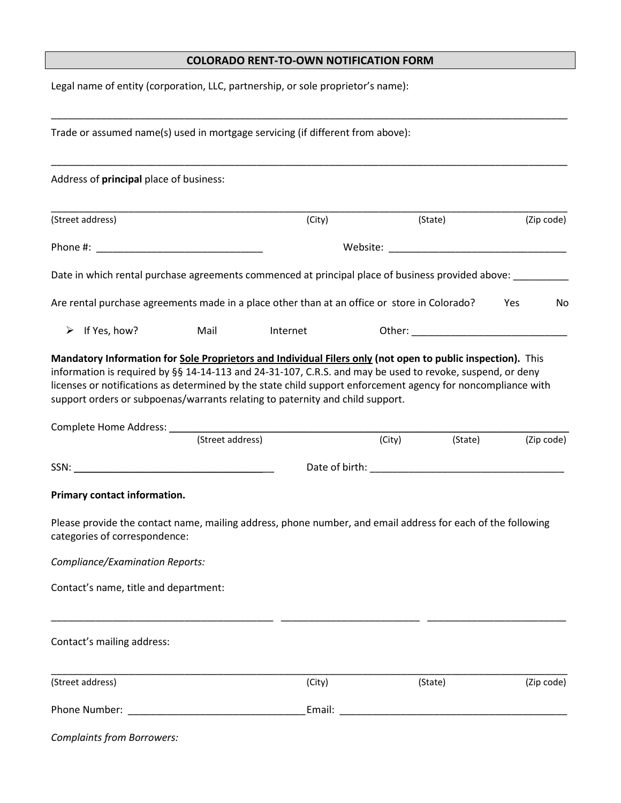## **COLORADO RENT-TO-OWN NOTIFICATION FORM**

Legal name of entity (corporation, LLC, partnership, or sole proprietor's name):

|                                         | Trade or assumed name(s) used in mortgage servicing (if different from above):                              |                                                                                                                                                                                                                               |        |         |            |
|-----------------------------------------|-------------------------------------------------------------------------------------------------------------|-------------------------------------------------------------------------------------------------------------------------------------------------------------------------------------------------------------------------------|--------|---------|------------|
| Address of principal place of business: |                                                                                                             |                                                                                                                                                                                                                               |        |         |            |
| (Street address)                        |                                                                                                             | (City)                                                                                                                                                                                                                        |        | (State) | (Zip code) |
|                                         |                                                                                                             | Website: when the contract of the contract of the contract of the contract of the contract of the contract of the contract of the contract of the contract of the contract of the contract of the contract of the contract of |        |         |            |
|                                         | Date in which rental purchase agreements commenced at principal place of business provided above: ____      |                                                                                                                                                                                                                               |        |         |            |
|                                         | Are rental purchase agreements made in a place other than at an office or store in Colorado?                |                                                                                                                                                                                                                               |        |         | Yes<br>No  |
| If Yes, how?<br>➤                       | Mail                                                                                                        | Internet                                                                                                                                                                                                                      |        |         |            |
|                                         | (Street address)                                                                                            |                                                                                                                                                                                                                               | (City) | (State) | (Zip code) |
|                                         |                                                                                                             |                                                                                                                                                                                                                               |        |         |            |
| Primary contact information.            |                                                                                                             |                                                                                                                                                                                                                               |        |         |            |
| categories of correspondence:           | Please provide the contact name, mailing address, phone number, and email address for each of the following |                                                                                                                                                                                                                               |        |         |            |
| Compliance/Examination Reports:         |                                                                                                             |                                                                                                                                                                                                                               |        |         |            |
| Contact's name, title and department:   |                                                                                                             |                                                                                                                                                                                                                               |        |         |            |
| Contact's mailing address:              |                                                                                                             |                                                                                                                                                                                                                               |        |         |            |
| (Street address)                        |                                                                                                             | (City)                                                                                                                                                                                                                        |        | (State) | (Zip code) |
|                                         |                                                                                                             |                                                                                                                                                                                                                               |        |         |            |
| <b>Complaints from Borrowers:</b>       |                                                                                                             |                                                                                                                                                                                                                               |        |         |            |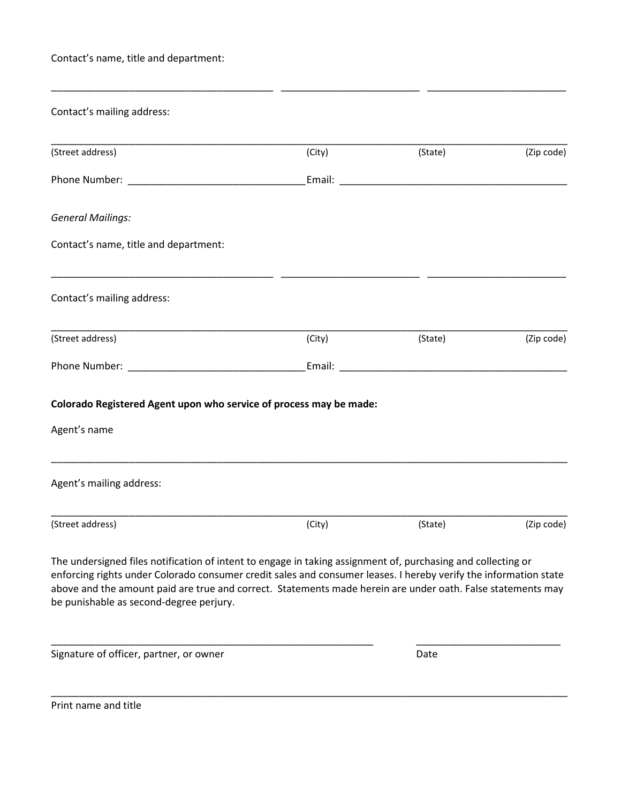Contact's name, title and department:

| Contact's mailing address:                                                                                                                                                                                                                                                                                                                                                                 |        |                                                                                                                                                                                                                                |            |
|--------------------------------------------------------------------------------------------------------------------------------------------------------------------------------------------------------------------------------------------------------------------------------------------------------------------------------------------------------------------------------------------|--------|--------------------------------------------------------------------------------------------------------------------------------------------------------------------------------------------------------------------------------|------------|
| (Street address)                                                                                                                                                                                                                                                                                                                                                                           | (City) | (State)                                                                                                                                                                                                                        | (Zip code) |
|                                                                                                                                                                                                                                                                                                                                                                                            |        |                                                                                                                                                                                                                                |            |
| <b>General Mailings:</b>                                                                                                                                                                                                                                                                                                                                                                   |        |                                                                                                                                                                                                                                |            |
| Contact's name, title and department:                                                                                                                                                                                                                                                                                                                                                      |        |                                                                                                                                                                                                                                |            |
| Contact's mailing address:                                                                                                                                                                                                                                                                                                                                                                 |        |                                                                                                                                                                                                                                |            |
| (Street address)                                                                                                                                                                                                                                                                                                                                                                           | (City) | (State)                                                                                                                                                                                                                        | (Zip code) |
|                                                                                                                                                                                                                                                                                                                                                                                            |        | Email: Email: Email: Email: Email: Email: Email: Email: Email: Email: Email: Email: Email: Email: Email: Email: Email: Email: Email: Email: Email: Email: Email: Email: Email: Email: Email: Email: Email: Email: Email: Email |            |
| Colorado Registered Agent upon who service of process may be made:                                                                                                                                                                                                                                                                                                                         |        |                                                                                                                                                                                                                                |            |
| Agent's name                                                                                                                                                                                                                                                                                                                                                                               |        |                                                                                                                                                                                                                                |            |
| Agent's mailing address:                                                                                                                                                                                                                                                                                                                                                                   |        |                                                                                                                                                                                                                                |            |
| (Street address)                                                                                                                                                                                                                                                                                                                                                                           | (City) | (State)                                                                                                                                                                                                                        | (Zip code) |
| The undersigned files notification of intent to engage in taking assignment of, purchasing and collecting or<br>enforcing rights under Colorado consumer credit sales and consumer leases. I hereby verify the information state<br>above and the amount paid are true and correct. Statements made herein are under oath. False statements may<br>be punishable as second-degree perjury. |        |                                                                                                                                                                                                                                |            |
| Signature of officer, partner, or owner                                                                                                                                                                                                                                                                                                                                                    |        | Date                                                                                                                                                                                                                           |            |

\_\_\_\_\_\_\_\_\_\_\_\_\_\_\_\_\_\_\_\_\_\_\_\_\_\_\_\_\_\_\_\_\_\_\_\_\_\_\_\_\_\_\_\_\_\_\_\_\_\_\_\_\_\_\_\_\_\_\_\_\_\_\_\_\_\_\_\_\_\_\_\_\_\_\_\_\_\_\_\_\_\_\_\_\_\_\_\_\_\_\_\_\_

\_\_\_\_\_\_\_\_\_\_\_\_\_\_\_\_\_\_\_\_\_\_\_\_\_\_\_\_\_\_\_\_\_\_\_\_\_\_\_\_ \_\_\_\_\_\_\_\_\_\_\_\_\_\_\_\_\_\_\_\_\_\_\_\_\_ \_\_\_\_\_\_\_\_\_\_\_\_\_\_\_\_\_\_\_\_\_\_\_\_\_

Print name and title